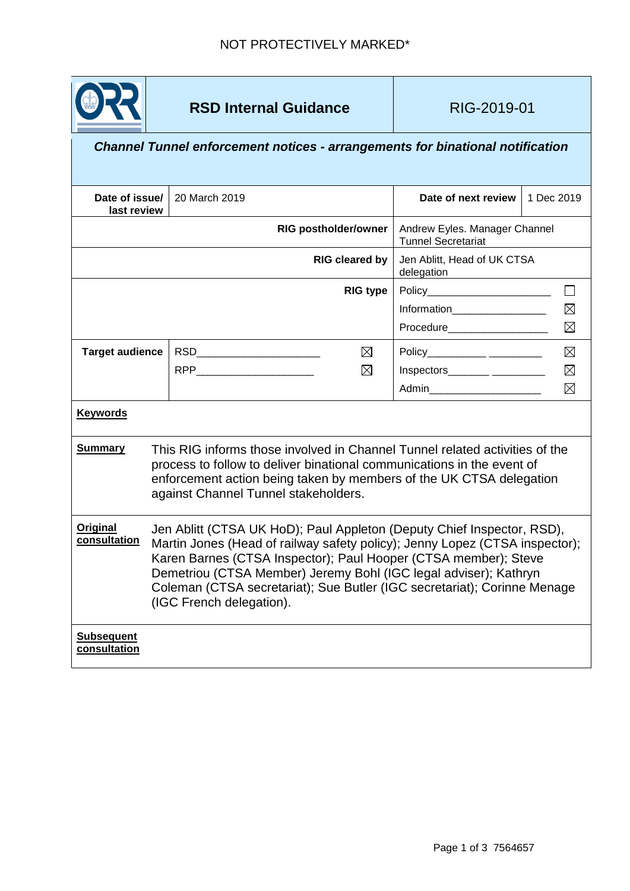

## *Channel Tunnel enforcement notices - arrangements for binational notification*

| Date of issue/<br>last review     |                                                                                                                                                                                                                                                                                                                                                                                                      | 20 March 2019         |                                                            | Date of next review           | 1 Dec 2019  |
|-----------------------------------|------------------------------------------------------------------------------------------------------------------------------------------------------------------------------------------------------------------------------------------------------------------------------------------------------------------------------------------------------------------------------------------------------|-----------------------|------------------------------------------------------------|-------------------------------|-------------|
| <b>RIG postholder/owner</b>       |                                                                                                                                                                                                                                                                                                                                                                                                      |                       | Andrew Eyles. Manager Channel<br><b>Tunnel Secretariat</b> |                               |             |
|                                   |                                                                                                                                                                                                                                                                                                                                                                                                      | <b>RIG cleared by</b> | Jen Ablitt, Head of UK CTSA<br>delegation                  |                               |             |
|                                   |                                                                                                                                                                                                                                                                                                                                                                                                      |                       | <b>RIG type</b>                                            |                               |             |
|                                   |                                                                                                                                                                                                                                                                                                                                                                                                      |                       |                                                            | Information__________________ | $\boxtimes$ |
|                                   |                                                                                                                                                                                                                                                                                                                                                                                                      |                       |                                                            | <b>Procedure Example 2019</b> | $\boxtimes$ |
| <b>Target audience</b>            |                                                                                                                                                                                                                                                                                                                                                                                                      |                       | ⊠                                                          |                               | $\boxtimes$ |
|                                   |                                                                                                                                                                                                                                                                                                                                                                                                      |                       | $\boxtimes$                                                |                               | $\boxtimes$ |
|                                   |                                                                                                                                                                                                                                                                                                                                                                                                      |                       |                                                            | Admin________________________ | $\boxtimes$ |
| <b>Keywords</b>                   |                                                                                                                                                                                                                                                                                                                                                                                                      |                       |                                                            |                               |             |
| <b>Summary</b>                    | This RIG informs those involved in Channel Tunnel related activities of the<br>process to follow to deliver binational communications in the event of<br>enforcement action being taken by members of the UK CTSA delegation<br>against Channel Tunnel stakeholders.                                                                                                                                 |                       |                                                            |                               |             |
| Original<br>consultation          | Jen Ablitt (CTSA UK HoD); Paul Appleton (Deputy Chief Inspector, RSD),<br>Martin Jones (Head of railway safety policy); Jenny Lopez (CTSA inspector);<br>Karen Barnes (CTSA Inspector); Paul Hooper (CTSA member); Steve<br>Demetriou (CTSA Member) Jeremy Bohl (IGC legal adviser); Kathryn<br>Coleman (CTSA secretariat); Sue Butler (IGC secretariat); Corinne Menage<br>(IGC French delegation). |                       |                                                            |                               |             |
| <b>Subsequent</b><br>consultation |                                                                                                                                                                                                                                                                                                                                                                                                      |                       |                                                            |                               |             |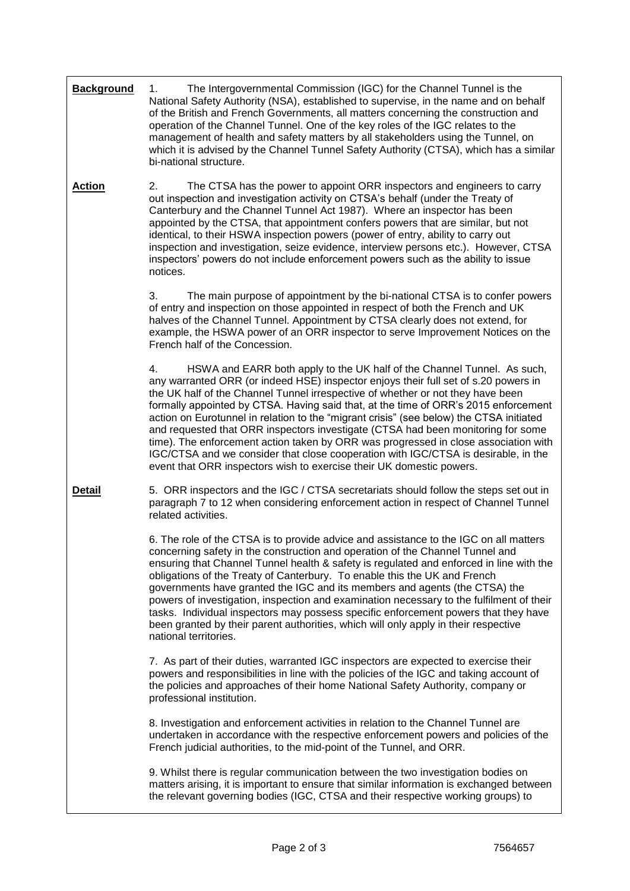| <b>Background</b> | The Intergovernmental Commission (IGC) for the Channel Tunnel is the<br>1.<br>National Safety Authority (NSA), established to supervise, in the name and on behalf<br>of the British and French Governments, all matters concerning the construction and<br>operation of the Channel Tunnel. One of the key roles of the IGC relates to the<br>management of health and safety matters by all stakeholders using the Tunnel, on<br>which it is advised by the Channel Tunnel Safety Authority (CTSA), which has a similar<br>bi-national structure.                                                                                                                                                                                                                                |  |  |
|-------------------|------------------------------------------------------------------------------------------------------------------------------------------------------------------------------------------------------------------------------------------------------------------------------------------------------------------------------------------------------------------------------------------------------------------------------------------------------------------------------------------------------------------------------------------------------------------------------------------------------------------------------------------------------------------------------------------------------------------------------------------------------------------------------------|--|--|
| <b>Action</b>     | 2.<br>The CTSA has the power to appoint ORR inspectors and engineers to carry<br>out inspection and investigation activity on CTSA's behalf (under the Treaty of<br>Canterbury and the Channel Tunnel Act 1987). Where an inspector has been<br>appointed by the CTSA, that appointment confers powers that are similar, but not<br>identical, to their HSWA inspection powers (power of entry, ability to carry out<br>inspection and investigation, seize evidence, interview persons etc.). However, CTSA<br>inspectors' powers do not include enforcement powers such as the ability to issue<br>notices.                                                                                                                                                                      |  |  |
|                   | 3.<br>The main purpose of appointment by the bi-national CTSA is to confer powers<br>of entry and inspection on those appointed in respect of both the French and UK<br>halves of the Channel Tunnel. Appointment by CTSA clearly does not extend, for<br>example, the HSWA power of an ORR inspector to serve Improvement Notices on the<br>French half of the Concession.                                                                                                                                                                                                                                                                                                                                                                                                        |  |  |
|                   | HSWA and EARR both apply to the UK half of the Channel Tunnel. As such,<br>4.<br>any warranted ORR (or indeed HSE) inspector enjoys their full set of s.20 powers in<br>the UK half of the Channel Tunnel irrespective of whether or not they have been<br>formally appointed by CTSA. Having said that, at the time of ORR's 2015 enforcement<br>action on Eurotunnel in relation to the "migrant crisis" (see below) the CTSA initiated<br>and requested that ORR inspectors investigate (CTSA had been monitoring for some<br>time). The enforcement action taken by ORR was progressed in close association with<br>IGC/CTSA and we consider that close cooperation with IGC/CTSA is desirable, in the<br>event that ORR inspectors wish to exercise their UK domestic powers. |  |  |
| <b>Detail</b>     | 5. ORR inspectors and the IGC / CTSA secretariats should follow the steps set out in<br>paragraph 7 to 12 when considering enforcement action in respect of Channel Tunnel<br>related activities.                                                                                                                                                                                                                                                                                                                                                                                                                                                                                                                                                                                  |  |  |
|                   | 6. The role of the CTSA is to provide advice and assistance to the IGC on all matters<br>concerning safety in the construction and operation of the Channel Tunnel and<br>ensuring that Channel Tunnel health & safety is regulated and enforced in line with the<br>obligations of the Treaty of Canterbury. To enable this the UK and French<br>governments have granted the IGC and its members and agents (the CTSA) the<br>powers of investigation, inspection and examination necessary to the fulfilment of their<br>tasks. Individual inspectors may possess specific enforcement powers that they have<br>been granted by their parent authorities, which will only apply in their respective<br>national territories.                                                    |  |  |
|                   | 7. As part of their duties, warranted IGC inspectors are expected to exercise their<br>powers and responsibilities in line with the policies of the IGC and taking account of<br>the policies and approaches of their home National Safety Authority, company or<br>professional institution.                                                                                                                                                                                                                                                                                                                                                                                                                                                                                      |  |  |
|                   | 8. Investigation and enforcement activities in relation to the Channel Tunnel are<br>undertaken in accordance with the respective enforcement powers and policies of the<br>French judicial authorities, to the mid-point of the Tunnel, and ORR.                                                                                                                                                                                                                                                                                                                                                                                                                                                                                                                                  |  |  |
|                   | 9. Whilst there is regular communication between the two investigation bodies on<br>matters arising, it is important to ensure that similar information is exchanged between<br>the relevant governing bodies (IGC, CTSA and their respective working groups) to                                                                                                                                                                                                                                                                                                                                                                                                                                                                                                                   |  |  |